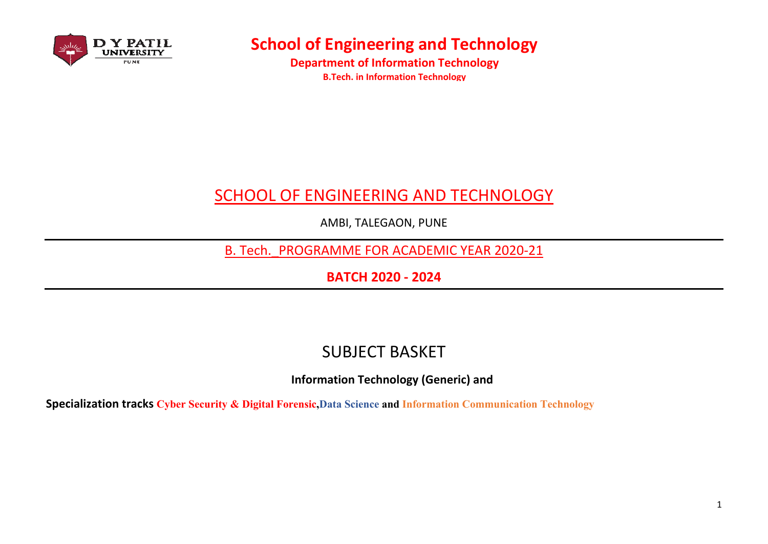

**Department of Information Technology B.Tech. in Information Technology** 

# **SCHOOL OF ENGINEERING AND TECHNOLOGY**

AMBI, TALEGAON, PUNE

B. Tech. PROGRAMME FOR ACADEMIC YEAR 2020-21

**BATCH 2020 - 2024** 

### **SUBJECT BASKET**

**Information Technology (Generic) and** 

Specialization tracks Cyber Security & Digital Forensic, Data Science and Information Communication Technology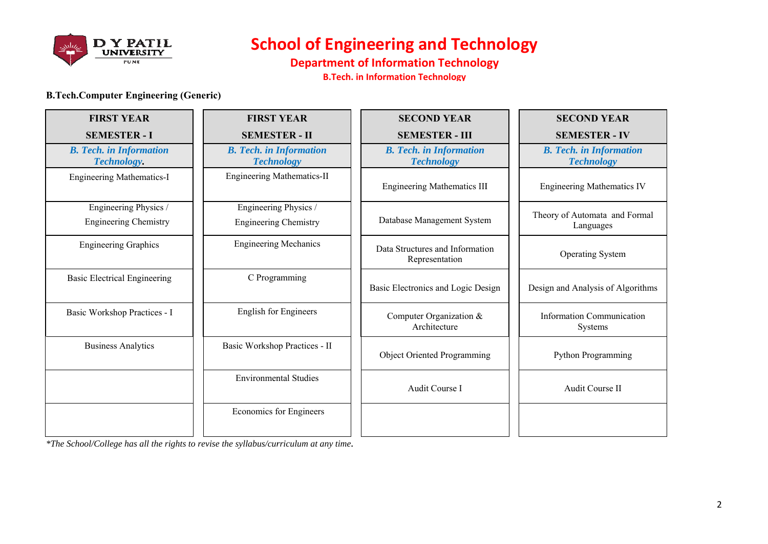

**Department of Information Technology** 

**B.Tech. in Information Technology** 

#### **B.Tech.Computer Engineering (Generic)**

| <b>FIRST YEAR</b>                                     | <b>FIRST YEAR</b>                                     | <b>SECOND YEAR</b>                                  | <b>SECOND YEAR</b>                                  |
|-------------------------------------------------------|-------------------------------------------------------|-----------------------------------------------------|-----------------------------------------------------|
| <b>SEMESTER - I</b>                                   | <b>SEMESTER - II</b>                                  | <b>SEMESTER - III</b>                               | <b>SEMESTER - IV</b>                                |
| <b>B.</b> Tech. in Information<br><b>Technology.</b>  | <b>B.</b> Tech. in Information<br><b>Technology</b>   | <b>B.</b> Tech. in Information<br><b>Technology</b> | <b>B.</b> Tech. in Information<br><b>Technology</b> |
| <b>Engineering Mathematics-I</b>                      | <b>Engineering Mathematics-II</b>                     | <b>Engineering Mathematics III</b>                  | <b>Engineering Mathematics IV</b>                   |
| Engineering Physics /<br><b>Engineering Chemistry</b> | Engineering Physics /<br><b>Engineering Chemistry</b> | Database Management System                          | Theory of Automata and Formal<br>Languages          |
| <b>Engineering Graphics</b>                           | <b>Engineering Mechanics</b>                          | Data Structures and Information<br>Representation   | <b>Operating System</b>                             |
| <b>Basic Electrical Engineering</b>                   | C Programming                                         | Basic Electronics and Logic Design                  | Design and Analysis of Algorithms                   |
| Basic Workshop Practices - I                          | <b>English for Engineers</b>                          | Computer Organization &<br>Architecture             | Information Communication<br>Systems                |
| <b>Business Analytics</b>                             | Basic Workshop Practices - II                         | <b>Object Oriented Programming</b>                  | Python Programming                                  |
|                                                       | <b>Environmental Studies</b>                          | Audit Course I                                      | Audit Course II                                     |
|                                                       | Economics for Engineers                               |                                                     |                                                     |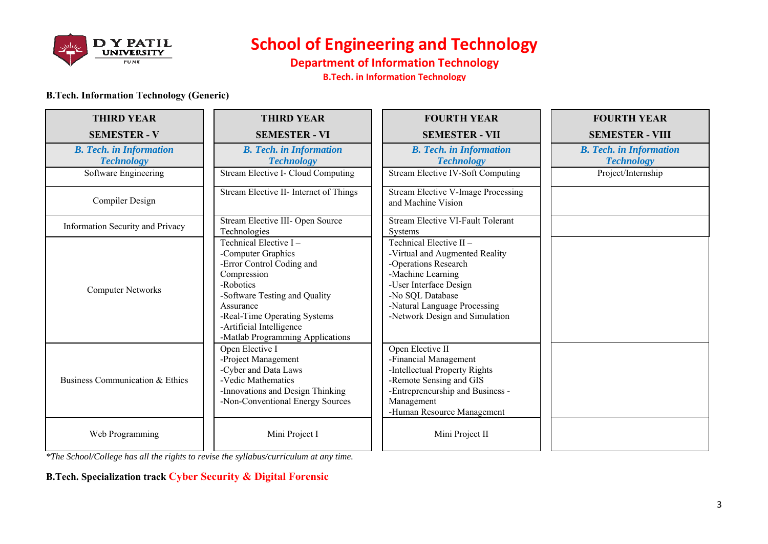

**Department of Information Technology** 

**B.Tech. in Information Technology** 

#### **B.Tech. Information Technology (Generic)**

| <b>THIRD YEAR</b>                                   | <b>THIRD YEAR</b>                                                                                                                                                                                                                                  | <b>FOURTH YEAR</b>                                                                                                                                                                                                    | <b>FOURTH YEAR</b>                                  |
|-----------------------------------------------------|----------------------------------------------------------------------------------------------------------------------------------------------------------------------------------------------------------------------------------------------------|-----------------------------------------------------------------------------------------------------------------------------------------------------------------------------------------------------------------------|-----------------------------------------------------|
| <b>SEMESTER - V</b>                                 | <b>SEMESTER - VI</b>                                                                                                                                                                                                                               | <b>SEMESTER - VII</b>                                                                                                                                                                                                 | <b>SEMESTER - VIII</b>                              |
| <b>B.</b> Tech. in Information<br><b>Technology</b> | <b>B.</b> Tech. in Information<br><b>Technology</b>                                                                                                                                                                                                | <b>B.</b> Tech. in Information<br><b>Technology</b>                                                                                                                                                                   | <b>B.</b> Tech. in Information<br><b>Technology</b> |
| Software Engineering                                | Stream Elective I- Cloud Computing                                                                                                                                                                                                                 | <b>Stream Elective IV-Soft Computing</b>                                                                                                                                                                              | Project/Internship                                  |
| <b>Compiler Design</b>                              | Stream Elective II- Internet of Things                                                                                                                                                                                                             | <b>Stream Elective V-Image Processing</b><br>and Machine Vision                                                                                                                                                       |                                                     |
| Information Security and Privacy                    | Stream Elective III- Open Source<br>Technologies                                                                                                                                                                                                   | <b>Stream Elective VI-Fault Tolerant</b><br>Systems                                                                                                                                                                   |                                                     |
| <b>Computer Networks</b>                            | Technical Elective I-<br>-Computer Graphics<br>-Error Control Coding and<br>Compression<br>-Robotics<br>-Software Testing and Quality<br>Assurance<br>-Real-Time Operating Systems<br>-Artificial Intelligence<br>-Matlab Programming Applications | Technical Elective II-<br>-Virtual and Augmented Reality<br>-Operations Research<br>-Machine Learning<br>-User Interface Design<br>-No SQL Database<br>-Natural Language Processing<br>-Network Design and Simulation |                                                     |
| Business Communication & Ethics                     | Open Elective I<br>-Project Management<br>-Cyber and Data Laws<br>-Vedic Mathematics<br>-Innovations and Design Thinking<br>-Non-Conventional Energy Sources                                                                                       | Open Elective II<br>-Financial Management<br>-Intellectual Property Rights<br>-Remote Sensing and GIS<br>-Entrepreneurship and Business -<br>Management<br>-Human Resource Management                                 |                                                     |
| Web Programming                                     | Mini Project I                                                                                                                                                                                                                                     | Mini Project II                                                                                                                                                                                                       |                                                     |

 $*$ The School/College has all the rights to revise the syllabus/curriculum at any time.

### **B.Tech. Specialization track Cyber Security & Digital Forensic**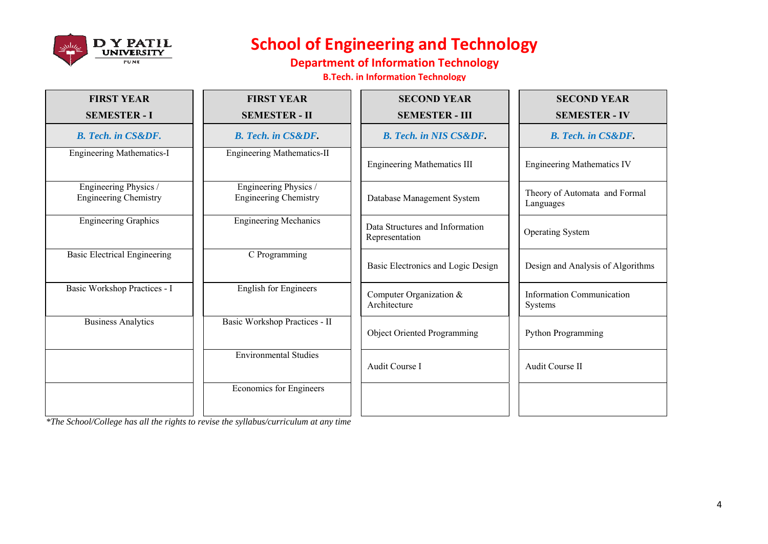

### **Department of Information Technology**

**B.Tech. in Information Technology** 

| <b>FIRST YEAR</b>                                     | <b>FIRST YEAR</b>                                     | <b>SECOND YEAR</b>                                | <b>SECOND YEAR</b>                          |
|-------------------------------------------------------|-------------------------------------------------------|---------------------------------------------------|---------------------------------------------|
| <b>SEMESTER - I</b>                                   | <b>SEMESTER - II</b>                                  | <b>SEMESTER - III</b>                             | <b>SEMESTER - IV</b>                        |
| <b>B.</b> Tech. in CS&DF.                             | <b>B.</b> Tech. in CS&DF.                             | <b>B.</b> Tech. in NIS CS&DF.                     | <b>B.</b> Tech. in CS&DF.                   |
| <b>Engineering Mathematics-I</b>                      | <b>Engineering Mathematics-II</b>                     | <b>Engineering Mathematics III</b>                | <b>Engineering Mathematics IV</b>           |
| Engineering Physics /<br><b>Engineering Chemistry</b> | Engineering Physics /<br><b>Engineering Chemistry</b> | Database Management System                        | Theory of Automata and Formal<br>Languages  |
| <b>Engineering Graphics</b>                           | <b>Engineering Mechanics</b>                          | Data Structures and Information<br>Representation | <b>Operating System</b>                     |
| <b>Basic Electrical Engineering</b>                   | C Programming                                         | Basic Electronics and Logic Design                | Design and Analysis of Algorithms           |
| Basic Workshop Practices - I                          | <b>English for Engineers</b>                          | Computer Organization &<br>Architecture           | <b>Information Communication</b><br>Systems |
| <b>Business Analytics</b>                             | Basic Workshop Practices - II                         | Object Oriented Programming                       | Python Programming                          |
|                                                       | <b>Environmental Studies</b>                          | Audit Course I                                    | Audit Course II                             |
|                                                       | Economics for Engineers                               |                                                   |                                             |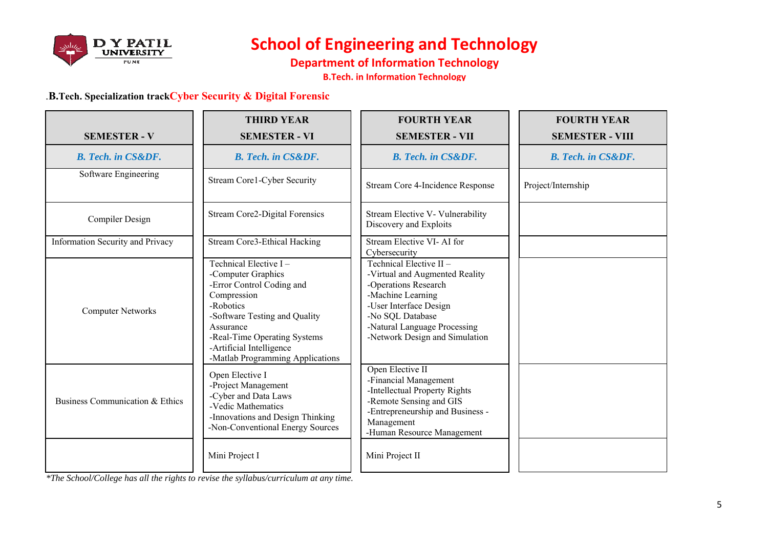

**Department of Information Technology** 

**B.Tech. in Information Technology** 

#### .B.Tech. Specialization trackCyber Security & Digital Forensic

|                                  | <b>THIRD YEAR</b>                                                                                                                                                                                                                                  | <b>FOURTH YEAR</b>                                                                                                                                                                                                    | <b>FOURTH YEAR</b>        |
|----------------------------------|----------------------------------------------------------------------------------------------------------------------------------------------------------------------------------------------------------------------------------------------------|-----------------------------------------------------------------------------------------------------------------------------------------------------------------------------------------------------------------------|---------------------------|
| <b>SEMESTER - V</b>              | <b>SEMESTER - VI</b>                                                                                                                                                                                                                               | <b>SEMESTER - VII</b>                                                                                                                                                                                                 | <b>SEMESTER - VIII</b>    |
| <b>B.</b> Tech. in CS&DF.        | <b>B. Tech. in CS&amp;DF.</b>                                                                                                                                                                                                                      | <b>B.</b> Tech. in CS&DF.                                                                                                                                                                                             | <b>B.</b> Tech. in CS&DF. |
| Software Engineering             | <b>Stream Corel-Cyber Security</b>                                                                                                                                                                                                                 | Stream Core 4-Incidence Response                                                                                                                                                                                      | Project/Internship        |
| Compiler Design                  | <b>Stream Core2-Digital Forensics</b>                                                                                                                                                                                                              | Stream Elective V- Vulnerability<br>Discovery and Exploits                                                                                                                                                            |                           |
| Information Security and Privacy | <b>Stream Core3-Ethical Hacking</b>                                                                                                                                                                                                                | Stream Elective VI-AI for<br>Cybersecurity                                                                                                                                                                            |                           |
| <b>Computer Networks</b>         | Technical Elective I-<br>-Computer Graphics<br>-Error Control Coding and<br>Compression<br>-Robotics<br>-Software Testing and Quality<br>Assurance<br>-Real-Time Operating Systems<br>-Artificial Intelligence<br>-Matlab Programming Applications | Technical Elective II-<br>-Virtual and Augmented Reality<br>-Operations Research<br>-Machine Learning<br>-User Interface Design<br>-No SQL Database<br>-Natural Language Processing<br>-Network Design and Simulation |                           |
| Business Communication & Ethics  | Open Elective I<br>-Project Management<br>-Cyber and Data Laws<br>-Vedic Mathematics<br>-Innovations and Design Thinking<br>-Non-Conventional Energy Sources                                                                                       | Open Elective II<br>-Financial Management<br>-Intellectual Property Rights<br>-Remote Sensing and GIS<br>-Entrepreneurship and Business -<br>Management<br>-Human Resource Management                                 |                           |
|                                  | Mini Project I                                                                                                                                                                                                                                     | Mini Project II                                                                                                                                                                                                       |                           |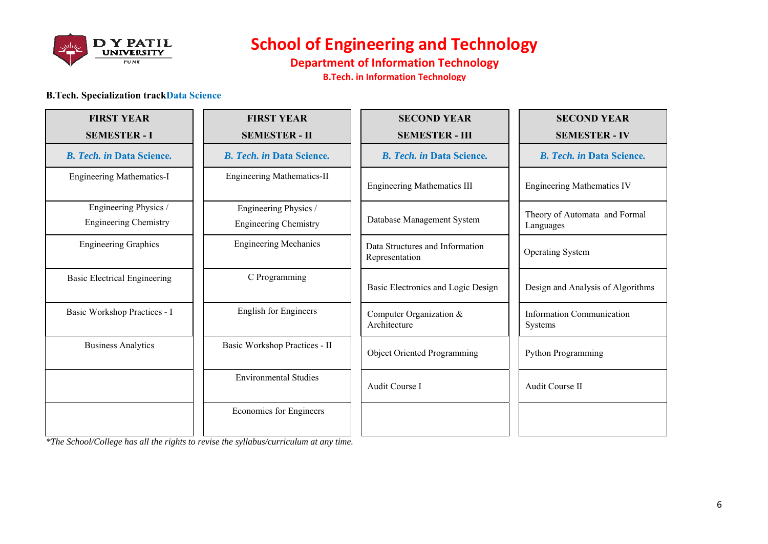

**Department of Information Technology** 

**B.Tech. in Information Technology** 

#### **B.Tech. Specialization trackData Science**

| <b>FIRST YEAR</b><br><b>SEMESTER - I</b>              | <b>FIRST YEAR</b><br><b>SEMESTER - II</b>             | <b>SECOND YEAR</b><br><b>SEMESTER - III</b>       | <b>SECOND YEAR</b><br><b>SEMESTER - IV</b> |
|-------------------------------------------------------|-------------------------------------------------------|---------------------------------------------------|--------------------------------------------|
| <b>B. Tech. in Data Science.</b>                      | <b>B. Tech. in Data Science.</b>                      | <b>B. Tech. in Data Science.</b>                  | <b>B. Tech. in Data Science.</b>           |
| <b>Engineering Mathematics-I</b>                      | <b>Engineering Mathematics-II</b>                     | <b>Engineering Mathematics III</b>                | <b>Engineering Mathematics IV</b>          |
| Engineering Physics /<br><b>Engineering Chemistry</b> | Engineering Physics /<br><b>Engineering Chemistry</b> | Database Management System                        | Theory of Automata and Formal<br>Languages |
| <b>Engineering Graphics</b>                           | <b>Engineering Mechanics</b>                          | Data Structures and Information<br>Representation | <b>Operating System</b>                    |
| <b>Basic Electrical Engineering</b>                   | C Programming                                         | Basic Electronics and Logic Design                | Design and Analysis of Algorithms          |
| Basic Workshop Practices - I                          | <b>English for Engineers</b>                          | Computer Organization &<br>Architecture           | Information Communication<br>Systems       |
| <b>Business Analytics</b>                             | Basic Workshop Practices - II                         | <b>Object Oriented Programming</b>                | Python Programming                         |
|                                                       | <b>Environmental Studies</b>                          | Audit Course I                                    | Audit Course II                            |
|                                                       | Economics for Engineers                               |                                                   |                                            |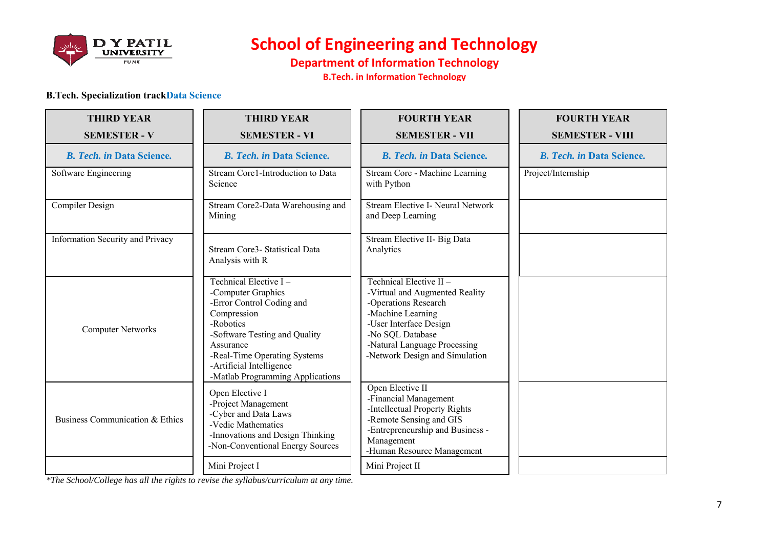

### **Department of Information Technology**

**B.Tech. in Information Technology** 

#### **B.Tech. Specialization trackData Science**

| <b>THIRD YEAR</b>                | <b>THIRD YEAR</b>                                                                                                                                                                                                                                  | <b>FOURTH YEAR</b>                                                                                                                                                                                                    | <b>FOURTH YEAR</b>               |
|----------------------------------|----------------------------------------------------------------------------------------------------------------------------------------------------------------------------------------------------------------------------------------------------|-----------------------------------------------------------------------------------------------------------------------------------------------------------------------------------------------------------------------|----------------------------------|
| <b>SEMESTER - V</b>              | <b>SEMESTER - VI</b>                                                                                                                                                                                                                               | <b>SEMESTER - VII</b>                                                                                                                                                                                                 | <b>SEMESTER - VIII</b>           |
| <b>B. Tech. in Data Science.</b> | <b>B. Tech. in Data Science.</b>                                                                                                                                                                                                                   | <b>B.</b> Tech. in Data Science.                                                                                                                                                                                      | <b>B. Tech. in Data Science.</b> |
| Software Engineering             | Stream Core1-Introduction to Data<br>Science                                                                                                                                                                                                       | Stream Core - Machine Learning<br>with Python                                                                                                                                                                         | Project/Internship               |
| Compiler Design                  | Stream Core2-Data Warehousing and<br>Mining                                                                                                                                                                                                        | Stream Elective I- Neural Network<br>and Deep Learning                                                                                                                                                                |                                  |
| Information Security and Privacy | Stream Core3- Statistical Data<br>Analysis with R                                                                                                                                                                                                  | Stream Elective II- Big Data<br>Analytics                                                                                                                                                                             |                                  |
| <b>Computer Networks</b>         | Technical Elective I-<br>-Computer Graphics<br>-Error Control Coding and<br>Compression<br>-Robotics<br>-Software Testing and Quality<br>Assurance<br>-Real-Time Operating Systems<br>-Artificial Intelligence<br>-Matlab Programming Applications | Technical Elective II-<br>-Virtual and Augmented Reality<br>-Operations Research<br>-Machine Learning<br>-User Interface Design<br>-No SQL Database<br>-Natural Language Processing<br>-Network Design and Simulation |                                  |
| Business Communication & Ethics  | Open Elective I<br>-Project Management<br>-Cyber and Data Laws<br>-Vedic Mathematics<br>-Innovations and Design Thinking<br>-Non-Conventional Energy Sources                                                                                       | Open Elective II<br>-Financial Management<br>-Intellectual Property Rights<br>-Remote Sensing and GIS<br>-Entrepreneurship and Business -<br>Management<br>-Human Resource Management                                 |                                  |
|                                  | Mini Project I                                                                                                                                                                                                                                     | Mini Project II                                                                                                                                                                                                       |                                  |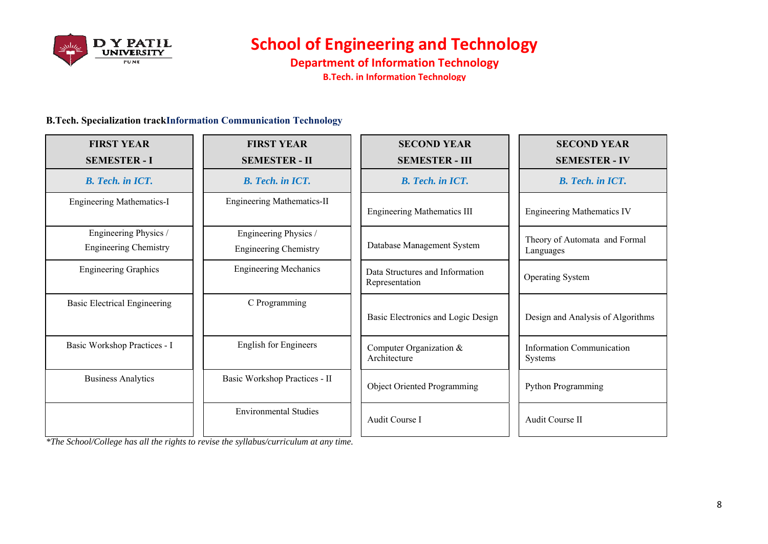

**Department of Information Technology B.Tech. in Information Technology** 

#### **B.Tech. Specialization trackInformation Communication Technology**

| <b>FIRST YEAR</b><br><b>SEMESTER - I</b>              | <b>FIRST YEAR</b><br><b>SEMESTER - II</b>             | <b>SECOND YEAR</b><br><b>SEMESTER - III</b>       | <b>SECOND YEAR</b><br><b>SEMESTER - IV</b>  |
|-------------------------------------------------------|-------------------------------------------------------|---------------------------------------------------|---------------------------------------------|
| <b>B.</b> Tech. in ICT.                               | <b>B.</b> Tech. in ICT.                               | <b>B.</b> Tech. in ICT.                           | <b>B.</b> Tech. in ICT.                     |
| <b>Engineering Mathematics-I</b>                      | <b>Engineering Mathematics-II</b>                     | <b>Engineering Mathematics III</b>                | <b>Engineering Mathematics IV</b>           |
| Engineering Physics /<br><b>Engineering Chemistry</b> | Engineering Physics /<br><b>Engineering Chemistry</b> | Database Management System                        | Theory of Automata and Formal<br>Languages  |
| <b>Engineering Graphics</b>                           | <b>Engineering Mechanics</b>                          | Data Structures and Information<br>Representation | <b>Operating System</b>                     |
| <b>Basic Electrical Engineering</b>                   | C Programming                                         | Basic Electronics and Logic Design                | Design and Analysis of Algorithms           |
| Basic Workshop Practices - I                          | <b>English for Engineers</b>                          | Computer Organization &<br>Architecture           | Information Communication<br><b>Systems</b> |
| <b>Business Analytics</b>                             | Basic Workshop Practices - II                         | <b>Object Oriented Programming</b>                | <b>Python Programming</b>                   |
|                                                       | <b>Environmental Studies</b>                          | Audit Course I                                    | Audit Course II                             |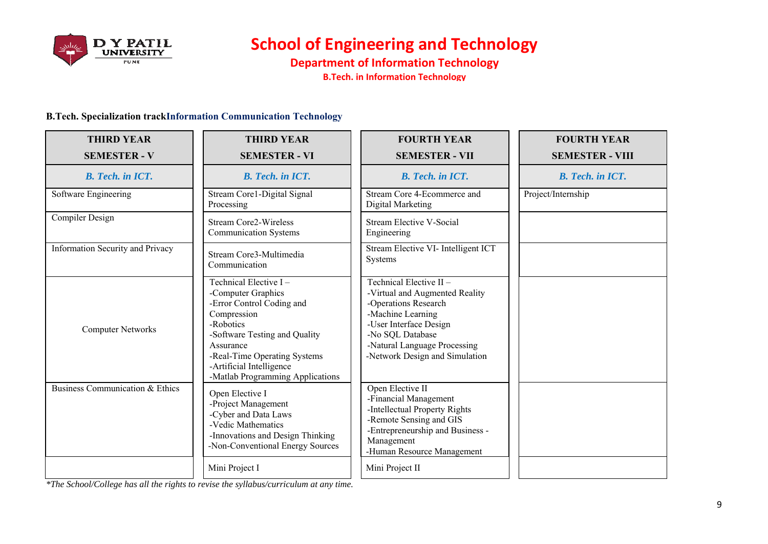

**Department of Information Technology B.Tech. in Information Technology** 

#### **B.Tech. Specialization trackInformation Communication Technology**

| <b>THIRD YEAR</b>                | <b>THIRD YEAR</b>                                                                                                                                                                                                                                  | <b>FOURTH YEAR</b>                                                                                                                                                                                                    | <b>FOURTH YEAR</b>      |
|----------------------------------|----------------------------------------------------------------------------------------------------------------------------------------------------------------------------------------------------------------------------------------------------|-----------------------------------------------------------------------------------------------------------------------------------------------------------------------------------------------------------------------|-------------------------|
| <b>SEMESTER - V</b>              | <b>SEMESTER - VI</b>                                                                                                                                                                                                                               | <b>SEMESTER - VII</b>                                                                                                                                                                                                 | <b>SEMESTER - VIII</b>  |
| <b>B.</b> Tech. in ICT.          | <b>B.</b> Tech. in ICT.                                                                                                                                                                                                                            | <b>B.</b> Tech. in ICT.                                                                                                                                                                                               | <b>B.</b> Tech. in ICT. |
| Software Engineering             | Stream Corel-Digital Signal<br>Processing                                                                                                                                                                                                          | Stream Core 4-Ecommerce and<br>Digital Marketing                                                                                                                                                                      | Project/Internship      |
| Compiler Design                  | <b>Stream Core2-Wireless</b><br><b>Communication Systems</b>                                                                                                                                                                                       | <b>Stream Elective V-Social</b><br>Engineering                                                                                                                                                                        |                         |
| Information Security and Privacy | Stream Core3-Multimedia<br>Communication                                                                                                                                                                                                           | Stream Elective VI- Intelligent ICT<br>Systems                                                                                                                                                                        |                         |
| <b>Computer Networks</b>         | Technical Elective I-<br>-Computer Graphics<br>-Error Control Coding and<br>Compression<br>-Robotics<br>-Software Testing and Quality<br>Assurance<br>-Real-Time Operating Systems<br>-Artificial Intelligence<br>-Matlab Programming Applications | Technical Elective II-<br>-Virtual and Augmented Reality<br>-Operations Research<br>-Machine Learning<br>-User Interface Design<br>-No SQL Database<br>-Natural Language Processing<br>-Network Design and Simulation |                         |
| Business Communication & Ethics  | Open Elective I<br>-Project Management<br>-Cyber and Data Laws<br>-Vedic Mathematics<br>-Innovations and Design Thinking<br>-Non-Conventional Energy Sources                                                                                       | Open Elective II<br>-Financial Management<br>-Intellectual Property Rights<br>-Remote Sensing and GIS<br>-Entrepreneurship and Business -<br>Management<br>-Human Resource Management                                 |                         |
|                                  | Mini Project I                                                                                                                                                                                                                                     | Mini Project II                                                                                                                                                                                                       |                         |